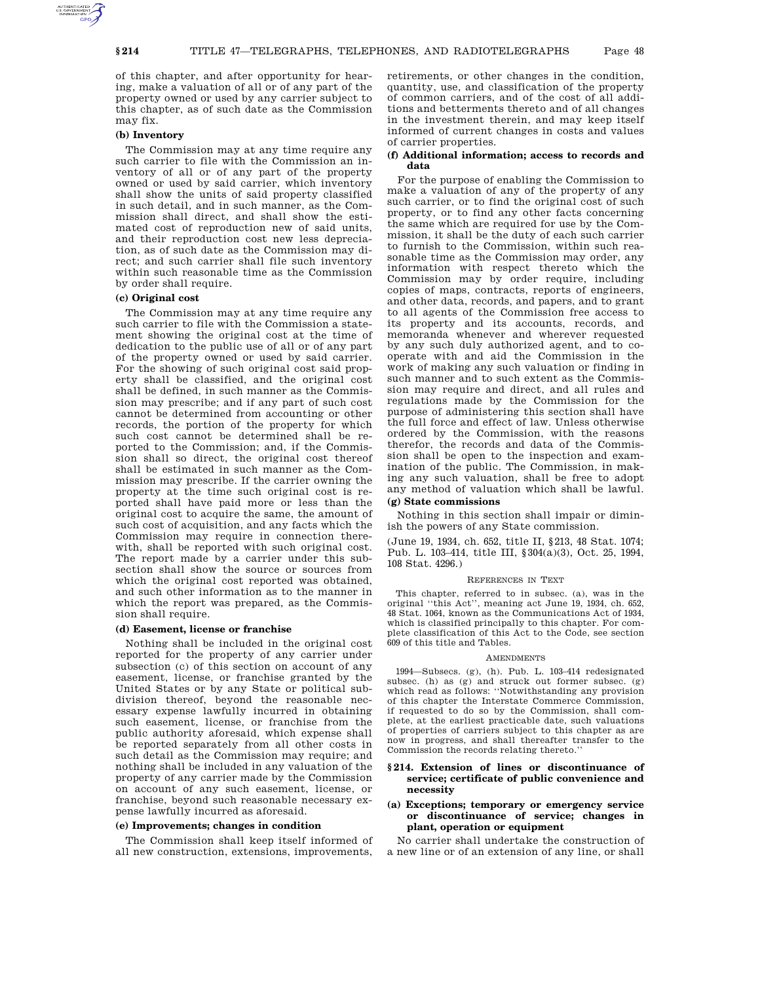of this chapter, and after opportunity for hearing, make a valuation of all or of any part of the property owned or used by any carrier subject to this chapter, as of such date as the Commission may fix.

### **(b) Inventory**

The Commission may at any time require any such carrier to file with the Commission an inventory of all or of any part of the property owned or used by said carrier, which inventory shall show the units of said property classified in such detail, and in such manner, as the Commission shall direct, and shall show the estimated cost of reproduction new of said units, and their reproduction cost new less depreciation, as of such date as the Commission may direct; and such carrier shall file such inventory within such reasonable time as the Commission by order shall require.

# **(c) Original cost**

The Commission may at any time require any such carrier to file with the Commission a statement showing the original cost at the time of dedication to the public use of all or of any part of the property owned or used by said carrier. For the showing of such original cost said property shall be classified, and the original cost shall be defined, in such manner as the Commission may prescribe; and if any part of such cost cannot be determined from accounting or other records, the portion of the property for which such cost cannot be determined shall be reported to the Commission; and, if the Commission shall so direct, the original cost thereof shall be estimated in such manner as the Commission may prescribe. If the carrier owning the property at the time such original cost is reported shall have paid more or less than the original cost to acquire the same, the amount of such cost of acquisition, and any facts which the Commission may require in connection therewith, shall be reported with such original cost. The report made by a carrier under this subsection shall show the source or sources from which the original cost reported was obtained, and such other information as to the manner in which the report was prepared, as the Commission shall require.

# **(d) Easement, license or franchise**

Nothing shall be included in the original cost reported for the property of any carrier under subsection (c) of this section on account of any easement, license, or franchise granted by the United States or by any State or political subdivision thereof, beyond the reasonable necessary expense lawfully incurred in obtaining such easement, license, or franchise from the public authority aforesaid, which expense shall be reported separately from all other costs in such detail as the Commission may require; and nothing shall be included in any valuation of the property of any carrier made by the Commission on account of any such easement, license, or franchise, beyond such reasonable necessary expense lawfully incurred as aforesaid.

### **(e) Improvements; changes in condition**

The Commission shall keep itself informed of all new construction, extensions, improvements, retirements, or other changes in the condition, quantity, use, and classification of the property of common carriers, and of the cost of all additions and betterments thereto and of all changes in the investment therein, and may keep itself informed of current changes in costs and values of carrier properties.

## **(f) Additional information; access to records and data**

For the purpose of enabling the Commission to make a valuation of any of the property of any such carrier, or to find the original cost of such property, or to find any other facts concerning the same which are required for use by the Commission, it shall be the duty of each such carrier to furnish to the Commission, within such reasonable time as the Commission may order, any information with respect thereto which the Commission may by order require, including copies of maps, contracts, reports of engineers, and other data, records, and papers, and to grant to all agents of the Commission free access to its property and its accounts, records, and memoranda whenever and wherever requested by any such duly authorized agent, and to cooperate with and aid the Commission in the work of making any such valuation or finding in such manner and to such extent as the Commission may require and direct, and all rules and regulations made by the Commission for the purpose of administering this section shall have the full force and effect of law. Unless otherwise ordered by the Commission, with the reasons therefor, the records and data of the Commission shall be open to the inspection and examination of the public. The Commission, in making any such valuation, shall be free to adopt any method of valuation which shall be lawful.

### **(g) State commissions**

Nothing in this section shall impair or diminish the powers of any State commission.

(June 19, 1934, ch. 652, title II, §213, 48 Stat. 1074; Pub. L. 103–414, title III, §304(a)(3), Oct. 25, 1994, 108 Stat. 4296.)

#### REFERENCES IN TEXT

This chapter, referred to in subsec. (a), was in the original ''this Act'', meaning act June 19, 1934, ch. 652, 48 Stat. 1064, known as the Communications Act of 1934, which is classified principally to this chapter. For complete classification of this Act to the Code, see section 609 of this title and Tables.

#### **AMENDMENTS**

1994—Subsecs. (g), (h). Pub. L. 103–414 redesignated subsec. (h) as (g) and struck out former subsec. (g) which read as follows: "Notwithstanding any provision of this chapter the Interstate Commerce Commission, if requested to do so by the Commission, shall complete, at the earliest practicable date, such valuations of properties of carriers subject to this chapter as are now in progress, and shall thereafter transfer to the Commission the records relating thereto.''

## **§ 214. Extension of lines or discontinuance of service; certificate of public convenience and necessity**

# **(a) Exceptions; temporary or emergency service or discontinuance of service; changes in plant, operation or equipment**

No carrier shall undertake the construction of a new line or of an extension of any line, or shall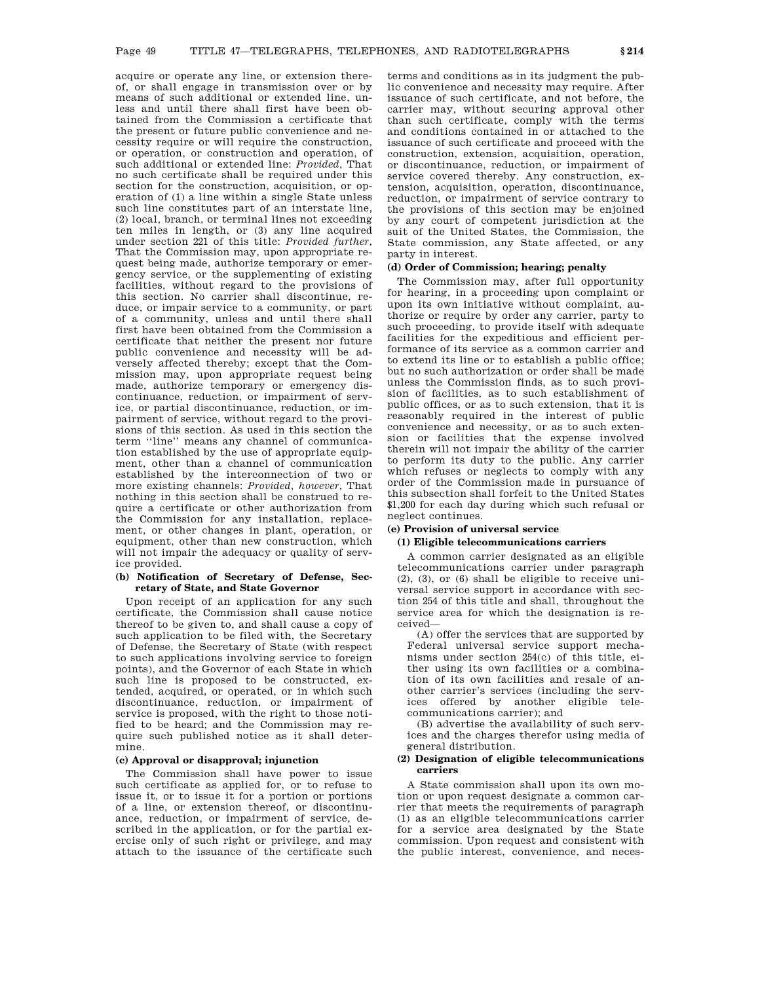acquire or operate any line, or extension thereof, or shall engage in transmission over or by means of such additional or extended line, unless and until there shall first have been obtained from the Commission a certificate that the present or future public convenience and necessity require or will require the construction, or operation, or construction and operation, of such additional or extended line: *Provided*, That no such certificate shall be required under this section for the construction, acquisition, or operation of (1) a line within a single State unless such line constitutes part of an interstate line, (2) local, branch, or terminal lines not exceeding ten miles in length, or (3) any line acquired under section 221 of this title: *Provided further*, That the Commission may, upon appropriate request being made, authorize temporary or emergency service, or the supplementing of existing facilities, without regard to the provisions of this section. No carrier shall discontinue, reduce, or impair service to a community, or part of a community, unless and until there shall first have been obtained from the Commission a certificate that neither the present nor future public convenience and necessity will be adversely affected thereby; except that the Commission may, upon appropriate request being made, authorize temporary or emergency discontinuance, reduction, or impairment of service, or partial discontinuance, reduction, or impairment of service, without regard to the provisions of this section. As used in this section the term ''line'' means any channel of communication established by the use of appropriate equipment, other than a channel of communication established by the interconnection of two or more existing channels: *Provided, however*, That nothing in this section shall be construed to require a certificate or other authorization from the Commission for any installation, replacement, or other changes in plant, operation, or equipment, other than new construction, which will not impair the adequacy or quality of service provided.

# **(b) Notification of Secretary of Defense, Secretary of State, and State Governor**

Upon receipt of an application for any such certificate, the Commission shall cause notice thereof to be given to, and shall cause a copy of such application to be filed with, the Secretary of Defense, the Secretary of State (with respect to such applications involving service to foreign points), and the Governor of each State in which such line is proposed to be constructed, extended, acquired, or operated, or in which such discontinuance, reduction, or impairment of service is proposed, with the right to those notified to be heard; and the Commission may require such published notice as it shall determine.

## **(c) Approval or disapproval; injunction**

The Commission shall have power to issue such certificate as applied for, or to refuse to issue it, or to issue it for a portion or portions of a line, or extension thereof, or discontinuance, reduction, or impairment of service, described in the application, or for the partial exercise only of such right or privilege, and may attach to the issuance of the certificate such

terms and conditions as in its judgment the public convenience and necessity may require. After issuance of such certificate, and not before, the carrier may, without securing approval other than such certificate, comply with the terms and conditions contained in or attached to the issuance of such certificate and proceed with the construction, extension, acquisition, operation, or discontinuance, reduction, or impairment of service covered thereby. Any construction, extension, acquisition, operation, discontinuance, reduction, or impairment of service contrary to the provisions of this section may be enjoined by any court of competent jurisdiction at the suit of the United States, the Commission, the State commission, any State affected, or any party in interest.

## **(d) Order of Commission; hearing; penalty**

The Commission may, after full opportunity for hearing, in a proceeding upon complaint or upon its own initiative without complaint, authorize or require by order any carrier, party to such proceeding, to provide itself with adequate facilities for the expeditious and efficient performance of its service as a common carrier and to extend its line or to establish a public office; but no such authorization or order shall be made unless the Commission finds, as to such provision of facilities, as to such establishment of public offices, or as to such extension, that it is reasonably required in the interest of public convenience and necessity, or as to such extension or facilities that the expense involved therein will not impair the ability of the carrier to perform its duty to the public. Any carrier which refuses or neglects to comply with any order of the Commission made in pursuance of this subsection shall forfeit to the United States \$1,200 for each day during which such refusal or neglect continues.

# **(e) Provision of universal service**

#### **(1) Eligible telecommunications carriers**

A common carrier designated as an eligible telecommunications carrier under paragraph (2), (3), or (6) shall be eligible to receive universal service support in accordance with section 254 of this title and shall, throughout the service area for which the designation is received—

(A) offer the services that are supported by Federal universal service support mechanisms under section 254(c) of this title, either using its own facilities or a combination of its own facilities and resale of another carrier's services (including the services offered by another eligible telecommunications carrier); and

(B) advertise the availability of such services and the charges therefor using media of general distribution.

### **(2) Designation of eligible telecommunications carriers**

A State commission shall upon its own motion or upon request designate a common carrier that meets the requirements of paragraph (1) as an eligible telecommunications carrier for a service area designated by the State commission. Upon request and consistent with the public interest, convenience, and neces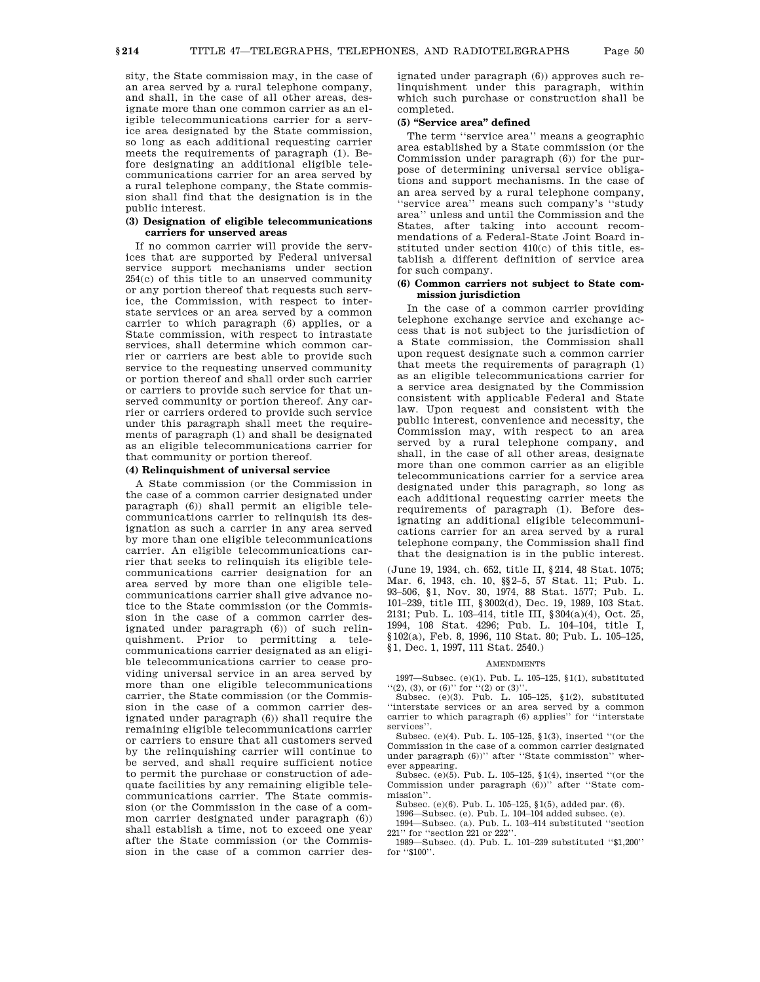sity, the State commission may, in the case of an area served by a rural telephone company, and shall, in the case of all other areas, designate more than one common carrier as an eligible telecommunications carrier for a service area designated by the State commission, so long as each additional requesting carrier meets the requirements of paragraph (1). Before designating an additional eligible telecommunications carrier for an area served by a rural telephone company, the State commission shall find that the designation is in the public interest.

#### **(3) Designation of eligible telecommunications carriers for unserved areas**

If no common carrier will provide the services that are supported by Federal universal service support mechanisms under section 254(c) of this title to an unserved community or any portion thereof that requests such service, the Commission, with respect to interstate services or an area served by a common carrier to which paragraph (6) applies, or a State commission, with respect to intrastate services, shall determine which common carrier or carriers are best able to provide such service to the requesting unserved community or portion thereof and shall order such carrier or carriers to provide such service for that unserved community or portion thereof. Any carrier or carriers ordered to provide such service under this paragraph shall meet the requirements of paragraph (1) and shall be designated as an eligible telecommunications carrier for that community or portion thereof.

### **(4) Relinquishment of universal service**

A State commission (or the Commission in the case of a common carrier designated under paragraph (6)) shall permit an eligible telecommunications carrier to relinquish its designation as such a carrier in any area served by more than one eligible telecommunications carrier. An eligible telecommunications carrier that seeks to relinquish its eligible telecommunications carrier designation for an area served by more than one eligible telecommunications carrier shall give advance notice to the State commission (or the Commission in the case of a common carrier designated under paragraph (6)) of such relinquishment. Prior to permitting a telecommunications carrier designated as an eligible telecommunications carrier to cease providing universal service in an area served by more than one eligible telecommunications carrier, the State commission (or the Commission in the case of a common carrier designated under paragraph (6)) shall require the remaining eligible telecommunications carrier or carriers to ensure that all customers served by the relinquishing carrier will continue to be served, and shall require sufficient notice to permit the purchase or construction of adequate facilities by any remaining eligible telecommunications carrier. The State commission (or the Commission in the case of a common carrier designated under paragraph (6)) shall establish a time, not to exceed one year after the State commission (or the Commission in the case of a common carrier designated under paragraph (6)) approves such relinquishment under this paragraph, within which such purchase or construction shall be completed.

# **(5) ''Service area'' defined**

The term ''service area'' means a geographic area established by a State commission (or the Commission under paragraph (6)) for the purpose of determining universal service obligations and support mechanisms. In the case of an area served by a rural telephone company, ''service area'' means such company's ''study area'' unless and until the Commission and the States, after taking into account recommendations of a Federal-State Joint Board instituted under section 410(c) of this title, establish a different definition of service area for such company.

### **(6) Common carriers not subject to State commission jurisdiction**

In the case of a common carrier providing telephone exchange service and exchange access that is not subject to the jurisdiction of a State commission, the Commission shall upon request designate such a common carrier that meets the requirements of paragraph (1) as an eligible telecommunications carrier for a service area designated by the Commission consistent with applicable Federal and State law. Upon request and consistent with the public interest, convenience and necessity, the Commission may, with respect to an area served by a rural telephone company, and shall, in the case of all other areas, designate more than one common carrier as an eligible telecommunications carrier for a service area designated under this paragraph, so long as each additional requesting carrier meets the requirements of paragraph (1). Before designating an additional eligible telecommunications carrier for an area served by a rural telephone company, the Commission shall find that the designation is in the public interest.

(June 19, 1934, ch. 652, title II, §214, 48 Stat. 1075; Mar. 6, 1943, ch. 10, §§2–5, 57 Stat. 11; Pub. L. 93–506, §1, Nov. 30, 1974, 88 Stat. 1577; Pub. L. 101–239, title III, §3002(d), Dec. 19, 1989, 103 Stat. 2131; Pub. L. 103–414, title III, §304(a)(4), Oct. 25, 1994, 108 Stat. 4296; Pub. L. 104–104, title I, §102(a), Feb. 8, 1996, 110 Stat. 80; Pub. L. 105–125, §1, Dec. 1, 1997, 111 Stat. 2540.)

#### **AMENDMENTS**

1997—Subsec. (e)(1). Pub. L. 105–125, §1(1), substituted  $``(2), (3),$  or  $(6)"$  for  $``(2)$  or  $(3)"$ .

Subsec. (e)(3). Pub. L. 105–125, §1(2), substituted ''interstate services or an area served by a common carrier to which paragraph (6) applies'' for ''interstate services''.

Subsec. (e)(4). Pub. L. 105–125, §1(3), inserted ''(or the Commission in the case of a common carrier designated under paragraph (6))" after "State commission" wherever appearing.

Subsec. (e)(5). Pub. L. 105–125, §1(4), inserted ''(or the Commission under paragraph (6))'' after ''State commission''.

Subsec. (e)(6). Pub. L. 105–125, §1(5), added par. (6).

1996—Subsec. (e). Pub. L. 104–104 added subsec. (e). 1994—Subsec. (a). Pub. L. 103–414 substituted ''section 221'' for ''section 221 or 222''.

1989—Subsec. (d). Pub. L. 101–239 substituted ''\$1,200'' for  $``$100"$ .